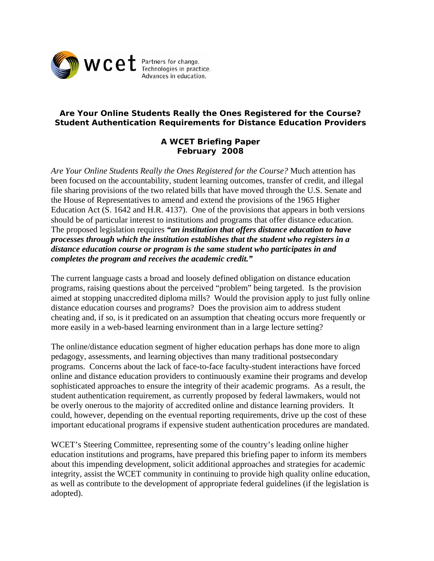

# **Are Your Online Students Really the Ones Registered for the Course? Student Authentication Requirements for Distance Education Providers**

# **A WCET Briefing Paper February 2008**

*Are Your Online Students Really the Ones Registered for the Course?* Much attention has been focused on the accountability, student learning outcomes, transfer of credit, and illegal file sharing provisions of the two related bills that have moved through the U.S. Senate and the House of Representatives to amend and extend the provisions of the 1965 Higher Education Act (S. 1642 and H.R. 4137). One of the provisions that appears in both versions should be of particular interest to institutions and programs that offer distance education. The proposed legislation requires *"an institution that offers distance education to have processes through which the institution establishes that the student who registers in a distance education course or program is the same student who participates in and completes the program and receives the academic credit."* 

The current language casts a broad and loosely defined obligation on distance education programs, raising questions about the perceived "problem" being targeted. Is the provision aimed at stopping unaccredited diploma mills? Would the provision apply to just fully online distance education courses and programs? Does the provision aim to address student cheating and, if so, is it predicated on an assumption that cheating occurs more frequently or more easily in a web-based learning environment than in a large lecture setting?

The online/distance education segment of higher education perhaps has done more to align pedagogy, assessments, and learning objectives than many traditional postsecondary programs. Concerns about the lack of face-to-face faculty-student interactions have forced online and distance education providers to continuously examine their programs and develop sophisticated approaches to ensure the integrity of their academic programs. As a result, the student authentication requirement, as currently proposed by federal lawmakers, would not be overly onerous to the majority of accredited online and distance learning providers. It could, however, depending on the eventual reporting requirements, drive up the cost of these important educational programs if expensive student authentication procedures are mandated.

WCET's Steering Committee, representing some of the country's leading online higher education institutions and programs, have prepared this briefing paper to inform its members about this impending development, solicit additional approaches and strategies for academic integrity, assist the WCET community in continuing to provide high quality online education, as well as contribute to the development of appropriate federal guidelines (if the legislation is adopted).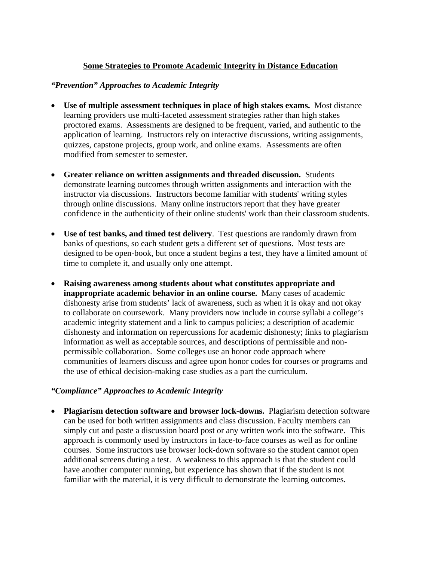# **Some Strategies to Promote Academic Integrity in Distance Education**

## *"Prevention" Approaches to Academic Integrity*

- **Use of multiple assessment techniques in place of high stakes exams.** Most distance learning providers use multi-faceted assessment strategies rather than high stakes proctored exams. Assessments are designed to be frequent, varied, and authentic to the application of learning. Instructors rely on interactive discussions, writing assignments, quizzes, capstone projects, group work, and online exams. Assessments are often modified from semester to semester.
- **Greater reliance on written assignments and threaded discussion.** Students demonstrate learning outcomes through written assignments and interaction with the instructor via discussions. Instructors become familiar with students' writing styles through online discussions. Many online instructors report that they have greater confidence in the authenticity of their online students' work than their classroom students.
- **Use of test banks, and timed test delivery**. Test questions are randomly drawn from banks of questions, so each student gets a different set of questions. Most tests are designed to be open-book, but once a student begins a test, they have a limited amount of time to complete it, and usually only one attempt.
- **Raising awareness among students about what constitutes appropriate and inappropriate academic behavior in an online course.** Many cases of academic dishonesty arise from students' lack of awareness, such as when it is okay and not okay to collaborate on coursework. Many providers now include in course syllabi a college's academic integrity statement and a link to campus policies; a description of academic dishonesty and information on repercussions for academic dishonesty; links to plagiarism information as well as acceptable sources, and descriptions of permissible and nonpermissible collaboration. Some colleges use an honor code approach where communities of learners discuss and agree upon honor codes for courses or programs and the use of ethical decision-making case studies as a part the curriculum.

### *"Compliance" Approaches to Academic Integrity*

• **Plagiarism detection software and browser lock-downs.** Plagiarism detection software can be used for both written assignments and class discussion. Faculty members can simply cut and paste a discussion board post or any written work into the software. This approach is commonly used by instructors in face-to-face courses as well as for online courses. Some instructors use browser lock-down software so the student cannot open additional screens during a test. A weakness to this approach is that the student could have another computer running, but experience has shown that if the student is not familiar with the material, it is very difficult to demonstrate the learning outcomes.